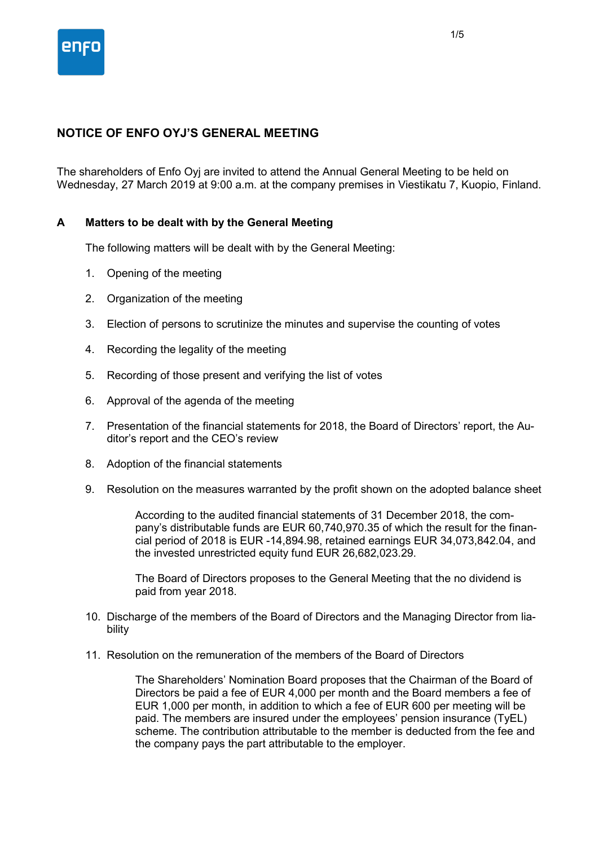

# **NOTICE OF ENFO OYJ'S GENERAL MEETING**

The shareholders of Enfo Oyj are invited to attend the Annual General Meeting to be held on Wednesday, 27 March 2019 at 9:00 a.m. at the company premises in Viestikatu 7, Kuopio, Finland.

## **A Matters to be dealt with by the General Meeting**

The following matters will be dealt with by the General Meeting:

- 1. Opening of the meeting
- 2. Organization of the meeting
- 3. Election of persons to scrutinize the minutes and supervise the counting of votes
- 4. Recording the legality of the meeting
- 5. Recording of those present and verifying the list of votes
- 6. Approval of the agenda of the meeting
- 7. Presentation of the financial statements for 2018, the Board of Directors' report, the Auditor's report and the CEO's review
- 8. Adoption of the financial statements
- 9. Resolution on the measures warranted by the profit shown on the adopted balance sheet

According to the audited financial statements of 31 December 2018, the company's distributable funds are EUR 60,740,970.35 of which the result for the financial period of 2018 is EUR -14,894.98, retained earnings EUR 34,073,842.04, and the invested unrestricted equity fund EUR 26,682,023.29.

The Board of Directors proposes to the General Meeting that the no dividend is paid from year 2018.

- 10. Discharge of the members of the Board of Directors and the Managing Director from liability
- 11. Resolution on the remuneration of the members of the Board of Directors

The Shareholders' Nomination Board proposes that the Chairman of the Board of Directors be paid a fee of EUR 4,000 per month and the Board members a fee of EUR 1,000 per month, in addition to which a fee of EUR 600 per meeting will be paid. The members are insured under the employees' pension insurance (TyEL) scheme. The contribution attributable to the member is deducted from the fee and the company pays the part attributable to the employer.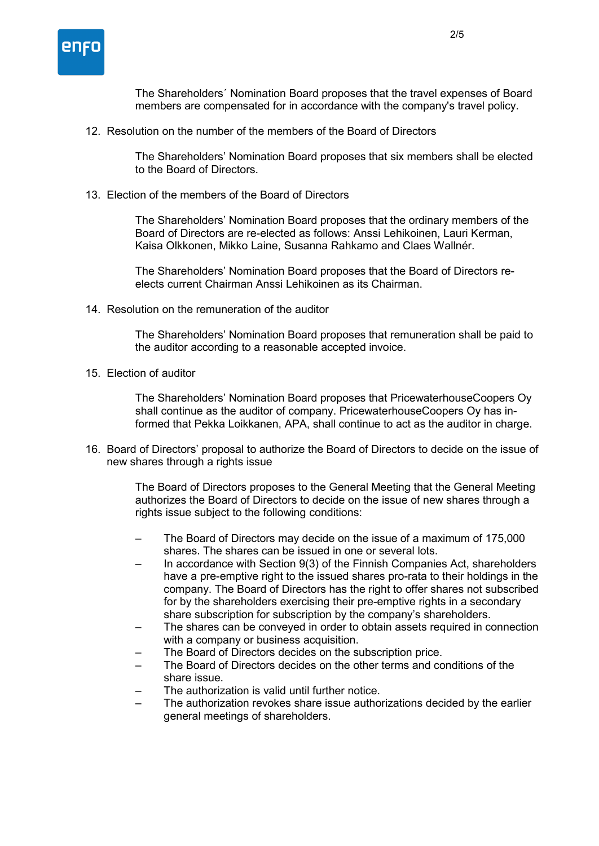

The Shareholders´ Nomination Board proposes that the travel expenses of Board members are compensated for in accordance with the company's travel policy.

12. Resolution on the number of the members of the Board of Directors

The Shareholders' Nomination Board proposes that six members shall be elected to the Board of Directors.

13. Election of the members of the Board of Directors

The Shareholders' Nomination Board proposes that the ordinary members of the Board of Directors are re-elected as follows: Anssi Lehikoinen, Lauri Kerman, Kaisa Olkkonen, Mikko Laine, Susanna Rahkamo and Claes Wallnér.

The Shareholders' Nomination Board proposes that the Board of Directors reelects current Chairman Anssi Lehikoinen as its Chairman.

14. Resolution on the remuneration of the auditor

The Shareholders' Nomination Board proposes that remuneration shall be paid to the auditor according to a reasonable accepted invoice.

15. Election of auditor

The Shareholders' Nomination Board proposes that PricewaterhouseCoopers Oy shall continue as the auditor of company. PricewaterhouseCoopers Oy has informed that Pekka Loikkanen, APA, shall continue to act as the auditor in charge.

16. Board of Directors' proposal to authorize the Board of Directors to decide on the issue of new shares through a rights issue

> The Board of Directors proposes to the General Meeting that the General Meeting authorizes the Board of Directors to decide on the issue of new shares through a rights issue subject to the following conditions:

- The Board of Directors may decide on the issue of a maximum of 175,000 shares. The shares can be issued in one or several lots.
- In accordance with Section 9(3) of the Finnish Companies Act, shareholders have a pre-emptive right to the issued shares pro-rata to their holdings in the company. The Board of Directors has the right to offer shares not subscribed for by the shareholders exercising their pre-emptive rights in a secondary share subscription for subscription by the company's shareholders.
- The shares can be conveyed in order to obtain assets required in connection with a company or business acquisition.
- The Board of Directors decides on the subscription price.
- The Board of Directors decides on the other terms and conditions of the share issue.
- The authorization is valid until further notice.
- The authorization revokes share issue authorizations decided by the earlier general meetings of shareholders.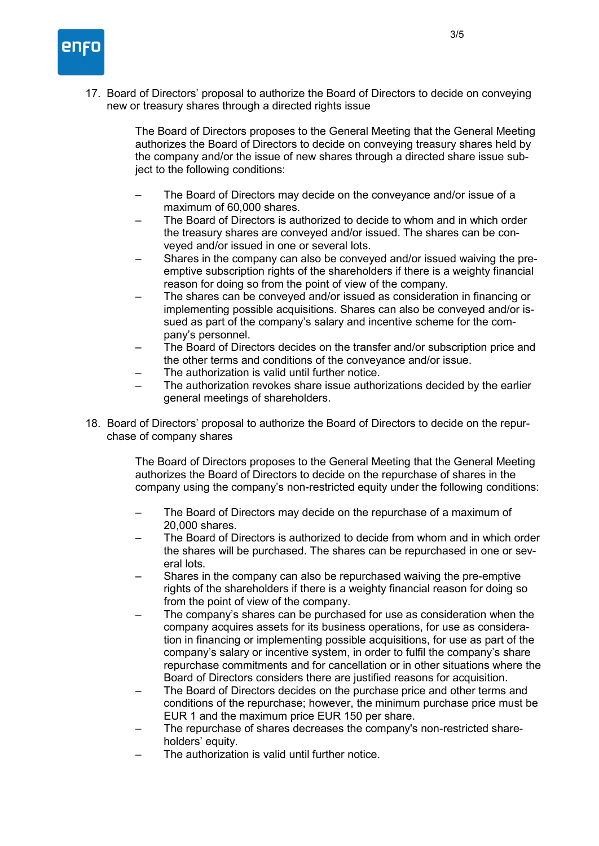

17. Board of Directors' proposal to authorize the Board of Directors to decide on conveying new or treasury shares through a directed rights issue

> The Board of Directors proposes to the General Meeting that the General Meeting authorizes the Board of Directors to decide on conveying treasury shares held by the company and/or the issue of new shares through a directed share issue subject to the following conditions:

- The Board of Directors may decide on the conveyance and/or issue of a maximum of 60,000 shares.
- The Board of Directors is authorized to decide to whom and in which order the treasury shares are conveyed and/or issued. The shares can be conveyed and/or issued in one or several lots.
- Shares in the company can also be conveyed and/or issued waiving the preemptive subscription rights of the shareholders if there is a weighty financial reason for doing so from the point of view of the company.
- The shares can be conveyed and/or issued as consideration in financing or implementing possible acquisitions. Shares can also be conveyed and/or issued as part of the company's salary and incentive scheme for the company's personnel.
- The Board of Directors decides on the transfer and/or subscription price and the other terms and conditions of the conveyance and/or issue.
- The authorization is valid until further notice.
- The authorization revokes share issue authorizations decided by the earlier general meetings of shareholders.
- 18. Board of Directors' proposal to authorize the Board of Directors to decide on the repurchase of company shares

The Board of Directors proposes to the General Meeting that the General Meeting authorizes the Board of Directors to decide on the repurchase of shares in the company using the company's non-restricted equity under the following conditions:

- The Board of Directors may decide on the repurchase of a maximum of 20,000 shares.
- The Board of Directors is authorized to decide from whom and in which order the shares will be purchased. The shares can be repurchased in one or several lots.
- Shares in the company can also be repurchased waiving the pre-emptive rights of the shareholders if there is a weighty financial reason for doing so from the point of view of the company.
- The company's shares can be purchased for use as consideration when the company acquires assets for its business operations, for use as consideration in financing or implementing possible acquisitions, for use as part of the company's salary or incentive system, in order to fulfil the company's share repurchase commitments and for cancellation or in other situations where the Board of Directors considers there are justified reasons for acquisition.
- The Board of Directors decides on the purchase price and other terms and conditions of the repurchase; however, the minimum purchase price must be EUR 1 and the maximum price EUR 150 per share.
- The repurchase of shares decreases the company's non-restricted shareholders' equity.
- The authorization is valid until further notice.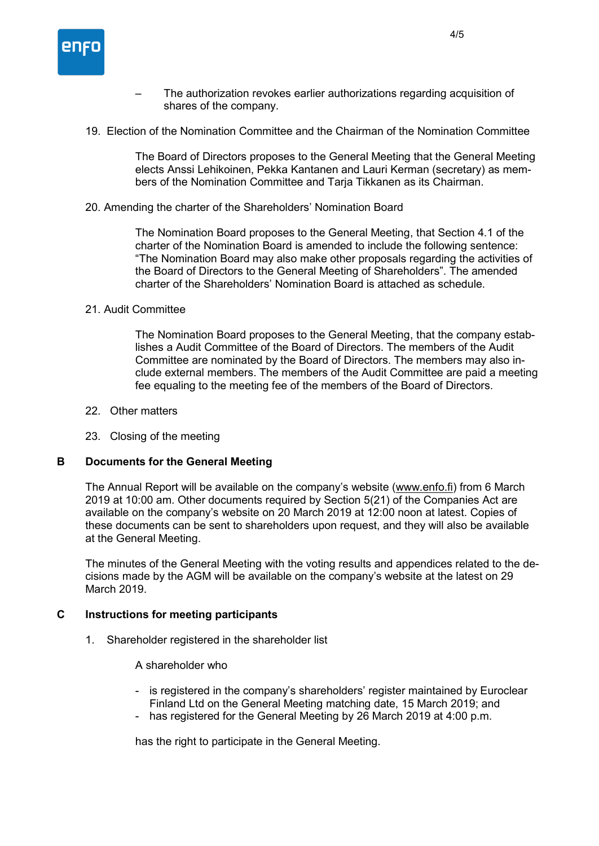

- The authorization revokes earlier authorizations regarding acquisition of shares of the company.
- 19. Election of the Nomination Committee and the Chairman of the Nomination Committee

The Board of Directors proposes to the General Meeting that the General Meeting elects Anssi Lehikoinen, Pekka Kantanen and Lauri Kerman (secretary) as members of the Nomination Committee and Tarja Tikkanen as its Chairman.

20. Amending the charter of the Shareholders' Nomination Board

The Nomination Board proposes to the General Meeting, that Section 4.1 of the charter of the Nomination Board is amended to include the following sentence: "The Nomination Board may also make other proposals regarding the activities of the Board of Directors to the General Meeting of Shareholders". The amended charter of the Shareholders' Nomination Board is attached as schedule.

### 21. Audit Committee

The Nomination Board proposes to the General Meeting, that the company establishes a Audit Committee of the Board of Directors. The members of the Audit Committee are nominated by the Board of Directors. The members may also include external members. The members of the Audit Committee are paid a meeting fee equaling to the meeting fee of the members of the Board of Directors.

- 22. Other matters
- 23. Closing of the meeting

#### **B Documents for the General Meeting**

The Annual Report will be available on the company's website (www.enfo.fi) from 6 March 2019 at 10:00 am. Other documents required by Section 5(21) of the Companies Act are available on the company's website on 20 March 2019 at 12:00 noon at latest. Copies of these documents can be sent to shareholders upon request, and they will also be available at the General Meeting.

The minutes of the General Meeting with the voting results and appendices related to the decisions made by the AGM will be available on the company's website at the latest on 29 March 2019.

### **C Instructions for meeting participants**

1. Shareholder registered in the shareholder list

A shareholder who

- is registered in the company's shareholders' register maintained by Euroclear Finland Ltd on the General Meeting matching date, 15 March 2019; and
- has registered for the General Meeting by 26 March 2019 at 4:00 p.m.

has the right to participate in the General Meeting.